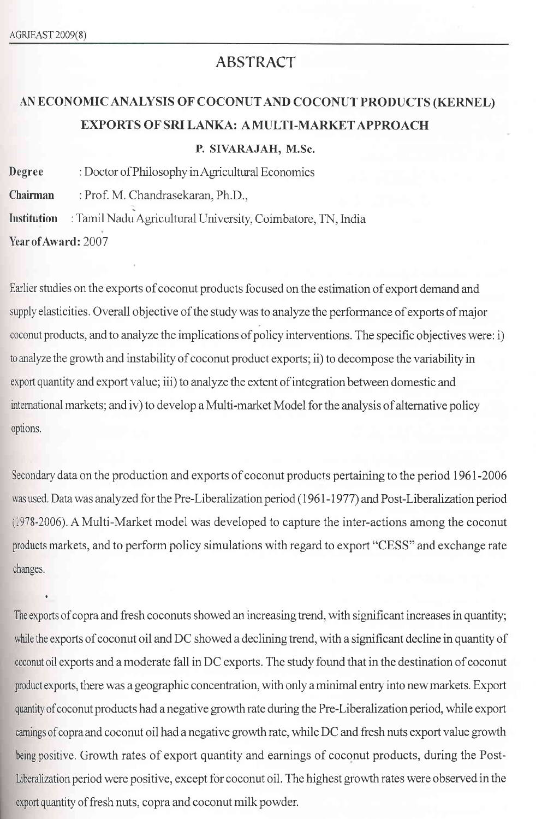## ABSTRACT

## AN ECONOMICANALYSIS OF COCONUTAND COCONUT PRODUCTS (KERNEL) EXPORTS OF SRI LANKA: A MULTI-MARKET APPROACH P. SIVARAJAH, M.Sc.

Degree : Doctor of Philosophy in Agricultural Economics Chairman :Prof. M. Chandrasekaran, Ph.D., Institution : Tamil Nadu Agricultural University, Coimbatore, TN, India Year of Award: 2007

Earlier studies on the exports of coconut products focused on the estimation of export demand and supply elasticities. Overall objective of the study was to analyze the performance of exports of major coconut products, and to analyze the implications of policy interventions. The specific objectives were: i) to analyze the growth and instability of coconut product exports; ii) to decompose the variability in export quantity and export value; iii) to analyze the extent of integration between domestic and intemational markets; and iv) to develop a Multi-market Model for the analysis of alternative policy options.

Secondary data on the production and exports of coconut products pertaining to the period 1961-2006 was used. Data was analyzed for the Pre-Liberalization period (1961-1977) and Post-Liberalization period (i978-2006). A Multi-Market model was developed to capture the inter-actions among the coconut products markets, and to perform policy simulations with regard to export "CESS" and exchange rate changes.

The exports of copra and fresh coconuts showed an increasing trend, with significant increases in quantity; while the exports of coconut oil and DC showed a declining trend, with a significant decline in quantity of coconut oil exports and a moderate fall in DC exports. The study found that in the destination of coconut product exports, there was a geographic concentration, with only a minimal entry into new markets. Export quantity of coconut products had a negative growth rate during the Pre-Liberalization period, while export eamings of copra and coconut oil had a negative growth rate, while DC and fresh nuts export value growth being positive. Growth rates of export quantity and earnings of coconut products, during the Post-Liberalization period were positive, except for coconut oil. The highest growth rates were observed in the export quantity of fresh nuts, copra and coconut milk powder.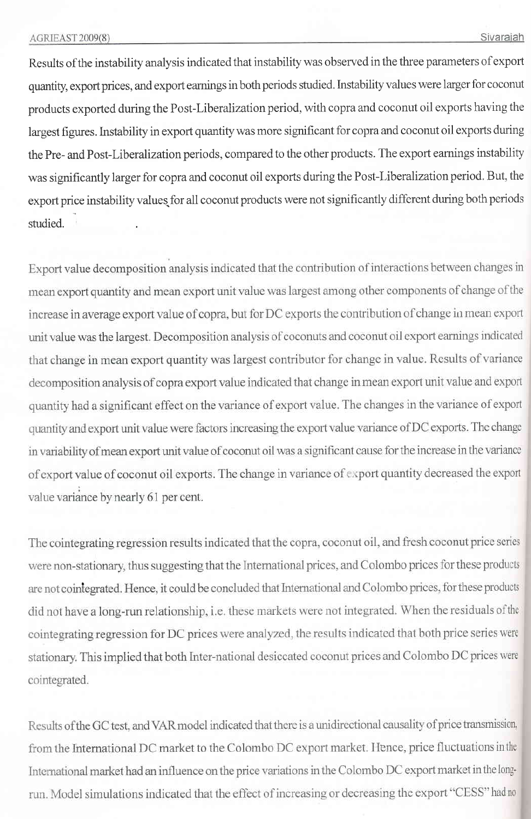Results of the instability analysis indicated that instability was observed in the three parameters of export quantity, export prices, and export earnings in both periods studied. Instability values were larger for coconut products exported during the Post-Liberalization period, with copra and coconut oil exports having the largest figures. Instability in export quantity was more significant for copra and coconut oil exports during the Pre- and Post-Liberalization periods, compared to the other products. The export earnings instability was significantly larger for copra and coconut oil exports during the Post-Liberalization period. But, the export price instability values for all coconut products were not significantly different during both periods studied.

Export value decomposition analysis indicated that the contribution of interactions between changes in mean export quantity and mean export unit value was largest among other components of change of the increase in average export value of copra, but for DC exports the contribution of change in mean export unit value was the largest. Decomposition analysis of coconuts and coconut oil export earnings indicated that change in mean export quantity was largest contributor for change in value. Results of variance decomposition analysis of copra export value indicated that change in mean export unit value and export quantity had a significant effect on the variance of export value. The changes in the variance of export quantity and export unit value were factors increasing the export value variance of DC exports. The change in variability of mean export unit value of coconut oil was a significant cause for the increase in the variance of export value of coconut oil exports. The change in variance of export quantity decreased the export value variance by nearly 61 per cent.

The cointegrating regression results indicated that the copra, coconut oil, and fresh coconut price series were non-stationary, thus suggesting that the International prices, and Colombo prices for these products are not cointegrated. Hence, it could be concluded that International and Colombo prices, for these products did not have a long-run relationship, i.e. these markets were not integrated. When the residuals of the cointegrating regression for DC prices were analyzed, the results indicated that both price series were stationary. This implied that both Inter-national desiccated coconut prices and Colombo DC prices were cointegrated.

Results of the GC test, and VAR model indicated that there is a unidirectional causality of price transmission, from the International DC market to the Colombo DC export market. Hence, price fluctuations in the International market had an influence on the price variations in the Colombo DC export market in the longrun. Model simulations indicated that the effect of increasing or decreasing the export "CESS" had no